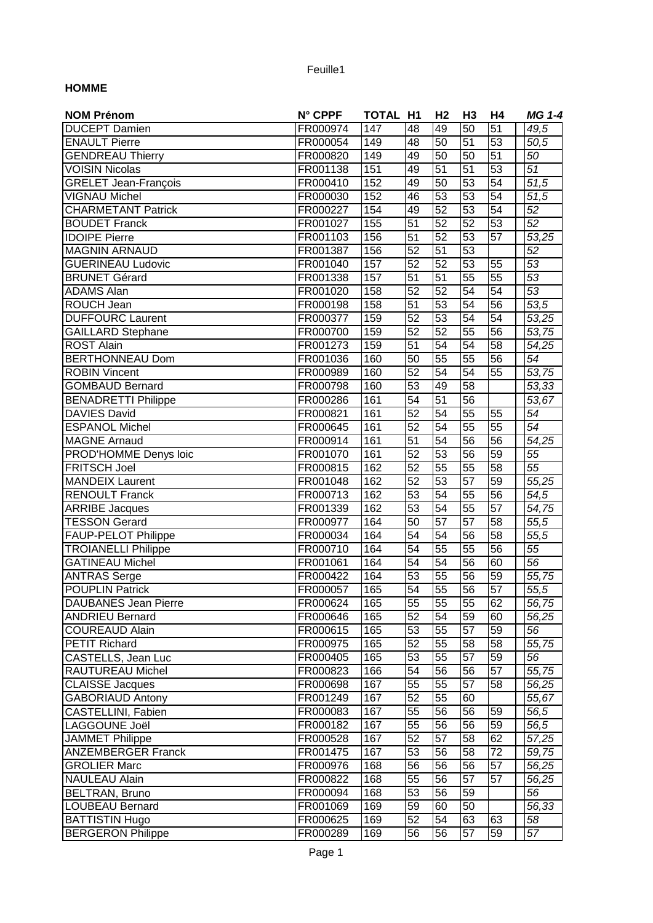## Feuille1

## **HOMME**

| <b>NOM Prénom</b>           | N° CPPF  | <b>TOTAL H1</b> |                 | H <sub>2</sub>  | H <sub>3</sub>  | Η4              | <b>MG 1-4</b>      |
|-----------------------------|----------|-----------------|-----------------|-----------------|-----------------|-----------------|--------------------|
| <b>DUCEPT Damien</b>        | FR000974 | 147             | 48              | 49              | $\overline{50}$ | $\overline{51}$ | 49,5               |
| <b>ENAULT Pierre</b>        | FR000054 | 149             | 48              | 50              | $\overline{51}$ | 53              | 50,5               |
| <b>GENDREAU</b> Thierry     | FR000820 | 149             | 49              | 50              | 50              | 51              | 50                 |
| <b>VOISIN Nicolas</b>       | FR001138 | 151             | 49              | 51              | $\overline{51}$ | $\overline{53}$ | $\overline{51}$    |
| <b>GRELET Jean-François</b> | FR000410 | 152             | 49              | 50              | $\overline{53}$ | $\overline{54}$ | $\overline{51,5}$  |
| <b>VIGNAU Michel</b>        | FR000030 | 152             | 46              | 53              | $\overline{53}$ | $\overline{54}$ | 51,5               |
| <b>CHARMETANT Patrick</b>   | FR000227 | 154             | 49              | 52              | $\overline{53}$ | $\overline{54}$ | $\overline{52}$    |
| <b>BOUDET Franck</b>        | FR001027 | 155             | $\overline{51}$ | 52              | 52              | 53              | 52                 |
| <b>IDOIPE Pierre</b>        | FR001103 | 156             | $\overline{51}$ | 52              | 53              | $\overline{57}$ | 53,25              |
| <b>MAGNIN ARNAUD</b>        | FR001387 | 156             | 52              | 51              | 53              |                 | $\overline{52}$    |
| <b>GUERINEAU Ludovic</b>    | FR001040 | 157             | 52              | 52              | 53              | 55              | 53                 |
| <b>BRUNET Gérard</b>        | FR001338 | 157             | $\overline{51}$ | 51              | $\overline{55}$ | 55              | 53                 |
| <b>ADAMS Alan</b>           | FR001020 | 158             | 52              | 52              | $\overline{54}$ | 54              | 53                 |
| ROUCH Jean                  | FR000198 | 158             | $\overline{51}$ | 53              | $\overline{54}$ | $\overline{56}$ | 53,5               |
| <b>DUFFOURC Laurent</b>     | FR000377 | 159             | $\overline{52}$ | $\overline{53}$ | 54              | 54              | 53,25              |
| <b>GAILLARD Stephane</b>    | FR000700 | 159             | 52              | $\overline{52}$ | 55              | 56              | 53,75              |
| <b>ROST Alain</b>           | FR001273 | 159             | 51              | $\overline{54}$ | $\overline{54}$ | 58              | 54,25              |
| <b>BERTHONNEAU Dom</b>      | FR001036 | 160             | 50              | 55              | 55              | 56              | 54                 |
| <b>ROBIN Vincent</b>        | FR000989 | 160             | 52              | 54              | $\overline{54}$ | $\overline{55}$ | 53,75              |
| <b>GOMBAUD Bernard</b>      | FR000798 | 160             | $\overline{53}$ | 49              | $\overline{58}$ |                 | 53,33              |
| <b>BENADRETTI Philippe</b>  | FR000286 | 161             | 54              | 51              | 56              |                 | 53,67              |
| <b>DAVIES David</b>         | FR000821 | 161             | $\overline{52}$ | 54              | 55              | 55              | 54                 |
|                             |          | 161             | $\overline{52}$ | 54              | $\overline{55}$ | $\overline{55}$ | 54                 |
| <b>ESPANOL Michel</b>       | FR000645 |                 | $\overline{51}$ | 54              | $\overline{56}$ |                 |                    |
| <b>MAGNE Arnaud</b>         | FR000914 | 161             |                 |                 |                 | 56              | 54,25              |
| PROD'HOMME Denys loic       | FR001070 | 161             | $\overline{52}$ | $\overline{53}$ | $\overline{56}$ | $\overline{59}$ | 55                 |
| <b>FRITSCH Joel</b>         | FR000815 | 162             | $\overline{52}$ | 55              | $\overline{55}$ | $\overline{58}$ | 55                 |
| <b>MANDEIX</b> Laurent      | FR001048 | 162             | $\overline{52}$ | 53              | $\overline{57}$ | $\overline{59}$ | 55,25              |
| <b>RENOULT Franck</b>       | FR000713 | 162             | $\overline{53}$ | 54              | $\overline{55}$ | $\overline{56}$ | 54,5               |
| <b>ARRIBE</b> Jacques       | FR001339 | 162             | 53              | 54              | $\overline{55}$ | $\overline{57}$ | 54,75              |
| <b>TESSON Gerard</b>        | FR000977 | 164             | $\overline{50}$ | $\overline{57}$ | $\overline{57}$ | 58              | 55,5               |
| <b>FAUP-PELOT Philippe</b>  | FR000034 | 164             | 54              | 54              | $\overline{56}$ | $\overline{58}$ | 55,5               |
| <b>TROIANELLI Philippe</b>  | FR000710 | 164             | $\overline{54}$ | $\overline{55}$ | $\overline{55}$ | 56              | $\overline{55}$    |
| <b>GATINEAU Michel</b>      | FR001061 | 164             | 54              | 54              | $\overline{56}$ | 60              | 56                 |
| <b>ANTRAS Serge</b>         | FR000422 | 164             | 53              | 55              | 56              | 59              | 55,75              |
| <b>POUPLIN Patrick</b>      | FR000057 | 165             | $\overline{54}$ | 55              | 56              | 57              | $\overline{55,5}$  |
| <b>DAUBANES Jean Pierre</b> | FR000624 | 165             | 55              | 55              | 55              | 62              | 56,75              |
| <b>ANDRIEU Bernard</b>      | FR000646 | 165             | 52              | 54              | 59              | 60              | 56,25              |
| <b>COUREAUD Alain</b>       | FR000615 | 165             | 53              | 55              | 57              | 59              | 56                 |
| <b>PETIT Richard</b>        | FR000975 | 165             | 52              | 55              | 58              | 58              | 55,75              |
| CASTELLS, Jean Luc          | FR000405 | 165             | 53              | 55              | 57              | 59              | $\overline{56}$    |
| RAUTUREAU Michel            | FR000823 | 166             | 54              | 56              | 56              | $\overline{57}$ | 55,75              |
| <b>CLAISSE Jacques</b>      | FR000698 | 167             | 55              | 55              | $\overline{57}$ | 58              | $\overline{56,}25$ |
| <b>GABORIAUD Antony</b>     | FR001249 | 167             | $\overline{52}$ | 55              | 60              |                 | 55,67              |
| CASTELLINI, Fabien          | FR000083 | 167             | $\overline{55}$ | 56              | 56              | 59              | 56,5               |
| LAGGOUNE Joël               | FR000182 | 167             | 55              | 56              | 56              | 59              | 56,5               |
| <b>JAMMET Philippe</b>      | FR000528 | 167             | 52              | 57              | 58              | 62              | 57,25              |
| <b>ANZEMBERGER Franck</b>   | FR001475 | 167             | 53              | 56              | 58              | 72              | 59,75              |
| <b>GROLIER Marc</b>         | FR000976 | 168             | 56              | 56              | 56              | 57              | 56,25              |
| NAULEAU Alain               | FR000822 | 168             | 55              | 56              | 57              | 57              | 56,25              |
| BELTRAN, Bruno              | FR000094 | 168             | 53              | 56              | 59              |                 | 56                 |
| LOUBEAU Bernard             | FR001069 | 169             | 59              | 60              | 50              |                 | 56,33              |
| <b>BATTISTIN Hugo</b>       | FR000625 | 169             | 52              | 54              | 63              | 63              | 58                 |
| <b>BERGERON Philippe</b>    | FR000289 | 169             | 56              | 56              | 57              | 59              | 57                 |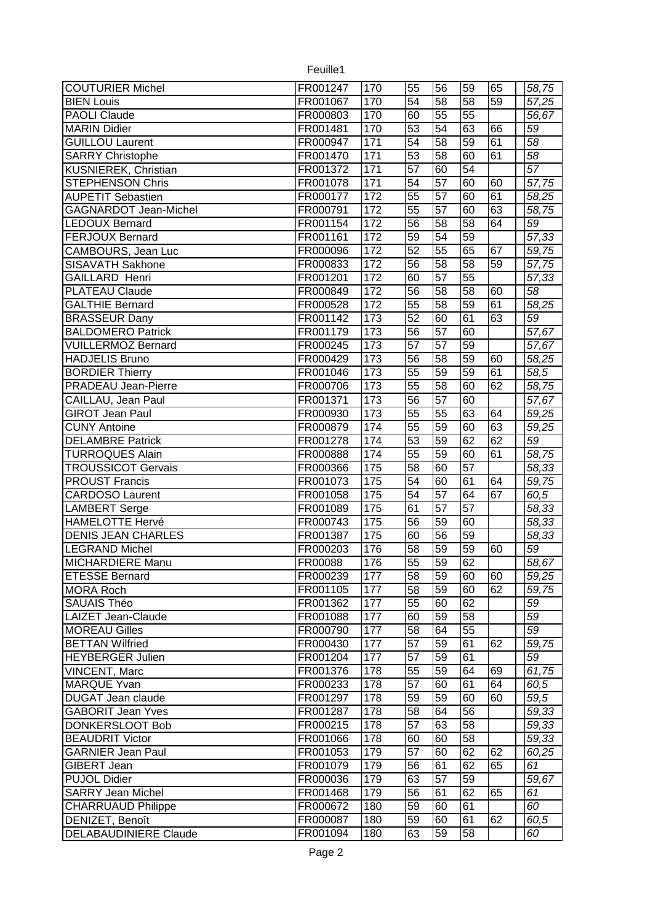| <b>COUTURIER Michel</b>      | FR001247 | 170             | 55              | 56              | 59              | 65 | 58,75              |
|------------------------------|----------|-----------------|-----------------|-----------------|-----------------|----|--------------------|
| <b>BIEN Louis</b>            | FR001067 | 170             | 54              | 58              | 58              | 59 | 57,25              |
| <b>PAOLI Claude</b>          | FR000803 | 170             | 60              | 55              | $\overline{55}$ |    | 56,67              |
| <b>MARIN Didier</b>          | FR001481 | 170             | $\overline{53}$ | $\overline{54}$ | 63              | 66 | 59                 |
| <b>GUILLOU Laurent</b>       | FR000947 | 171             | $\overline{54}$ | $\overline{58}$ | 59              | 61 | $\overline{58}$    |
| <b>SARRY Christophe</b>      | FR001470 | 171             | 53              | 58              | 60              | 61 | $\overline{58}$    |
| <b>KUSNIEREK, Christian</b>  | FR001372 | 171             | $\overline{57}$ | 60              | 54              |    | $\overline{57}$    |
| <b>STEPHENSON Chris</b>      | FR001078 | 171             | 54              | 57              | 60              | 60 | 57,75              |
| <b>AUPETIT Sebastien</b>     | FR000177 | 172             | 55              | 57              | 60              | 61 | 58,25              |
| <b>GAGNARDOT Jean-Michel</b> | FR000791 | 172             | 55              | 57              | 60              | 63 | 58,75              |
| <b>LEDOUX Bernard</b>        | FR001154 | 172             | $\overline{56}$ | 58              | $\overline{58}$ | 64 | $\overline{59}$    |
| <b>FERJOUX Bernard</b>       | FR001161 | 172             | $\overline{59}$ | 54              | 59              |    | $\overline{57,}33$ |
| CAMBOURS, Jean Luc           | FR000096 | 172             | 52              | $\overline{55}$ | 65              | 67 | 59,75              |
| SISAVATH Sakhone             | FR000833 | 172             | $\overline{56}$ | 58              | 58              | 59 | 57,75              |
| <b>GAILLARD Henri</b>        | FR001201 | 172             | 60              | 57              | 55              |    | 57,33              |
| <b>PLATEAU Claude</b>        | FR000849 | 172             | 56              | 58              | $\overline{58}$ | 60 | $\overline{58}$    |
| <b>GALTHIE Bernard</b>       | FR000528 | 172             | $\overline{55}$ | 58              | 59              | 61 | 58,25              |
| <b>BRASSEUR Dany</b>         | FR001142 | 173             | 52              | 60              | 61              | 63 | 59                 |
| <b>BALDOMERO Patrick</b>     | FR001179 | 173             | 56              | $\overline{57}$ | 60              |    | 57,67              |
| <b>VUILLERMOZ Bernard</b>    | FR000245 | 173             | 57              | 57              | 59              |    | 57,67              |
| <b>HADJELIS Bruno</b>        | FR000429 | 173             | 56              | 58              | 59              | 60 | 58,25              |
| <b>BORDIER Thierry</b>       | FR001046 | 173             | 55              | 59              | 59              | 61 | 58,5               |
| <b>PRADEAU Jean-Pierre</b>   | FR000706 | 173             | 55              | 58              | 60              | 62 | 58,75              |
| CAILLAU, Jean Paul           | FR001371 | $\frac{1}{173}$ | 56              | 57              | 60              |    | 57,67              |
| <b>GIROT Jean Paul</b>       | FR000930 | $\frac{1}{173}$ | 55              | 55              | 63              | 64 | 59,25              |
| <b>CUNY Antoine</b>          | FR000879 | 174             | 55              | 59              | 60              | 63 | 59,25              |
| <b>DELAMBRE Patrick</b>      | FR001278 | 174             | 53              | 59              | 62              | 62 | 59                 |
| <b>TURROQUES Alain</b>       | FR000888 | 174             | 55              | 59              | 60              | 61 | 58,75              |
| <b>TROUSSICOT Gervais</b>    | FR000366 | 175             | 58              | 60              | 57              |    | 58,33              |
| <b>PROUST Francis</b>        | FR001073 | 175             | 54              | 60              | 61              | 64 | 59,75              |
| <b>CARDOSO Laurent</b>       | FR001058 | 175             | 54              | 57              | 64              | 67 | 60,5               |
| <b>LAMBERT</b> Serge         | FR001089 | 175             | 61              | 57              | 57              |    | 58,33              |
| <b>HAMELOTTE Hervé</b>       | FR000743 | 175             | 56              | 59              | 60              |    | 58,33              |
| <b>DENIS JEAN CHARLES</b>    | FR001387 | 175             | 60              | 56              | 59              |    | 58,33              |
| <b>LEGRAND Michel</b>        | FR000203 | 176             | 58              | 59              | 59              | 60 | 59                 |
| MICHARDIERE Manu             | FR00088  | 176             | $\overline{55}$ | 59              | 62              |    | 58,67              |
| <b>ETESSE Bernard</b>        | FR000239 | 177             | 58              | 59              | 60              | 60 | 59,25              |
| MORA Roch                    | FR001105 | 177             | 58              | 59              | 60              | 62 | 59,75              |
| <b>SAUAIS Théo</b>           | FR001362 | 177             | 55              | 60              | 62              |    | 59                 |
| LAIZET Jean-Claude           | FR001088 | 177             | 60              | 59              | 58              |    | 59                 |
| <b>MOREAU Gilles</b>         | FR000790 | 177             | 58              | 64              | 55              |    | 59                 |
| <b>BETTAN Wilfried</b>       | FR000430 | 177             | 57              | 59              | 61              | 62 | 59,75              |
| <b>HEYBERGER Julien</b>      | FR001204 | 177             | 57              | 59              | 61              |    | 59                 |
| <b>VINCENT, Marc</b>         | FR001376 | 178             | 55              | 59              | 64              | 69 | 61,75              |
| <b>MARQUE Yvan</b>           | FR000233 | 178             | 57              | 60              | 61              | 64 | 60,5               |
| <b>DUGAT Jean claude</b>     | FR001297 | 178             | 59              | 59              | 60              | 60 | 59,5               |
| <b>GABORIT Jean Yves</b>     | FR001287 | 178             | 58              | 64              | 56              |    | 59,33              |
| <b>DONKERSLOOT Bob</b>       | FR000215 | 178             | 57              | 63              | 58              |    | 59,33              |
| <b>BEAUDRIT Victor</b>       | FR001066 | 178             | 60              | 60              | 58              |    | 59,33              |
| <b>GARNIER Jean Paul</b>     | FR001053 | 179             | 57              | 60              | 62              | 62 | 60,25              |
| <b>GIBERT Jean</b>           | FR001079 | 179             | 56              | 61              | 62              | 65 | 61                 |
| <b>PUJOL Didier</b>          | FR000036 | 179             | 63              | 57              | 59              |    | 59,67              |
| <b>SARRY Jean Michel</b>     | FR001468 | 179             | 56              | 61              | 62              | 65 | 61                 |
| <b>CHARRUAUD Philippe</b>    | FR000672 | 180             | 59              | 60              | 61              |    | 60                 |
| DENIZET, Benoît              | FR000087 | 180             | 59              | 60              | 61              | 62 | 60,5               |
| <b>DELABAUDINIERE Claude</b> | FR001094 | 180             | 63              | 59              | 58              |    | 60                 |
|                              |          |                 |                 |                 |                 |    |                    |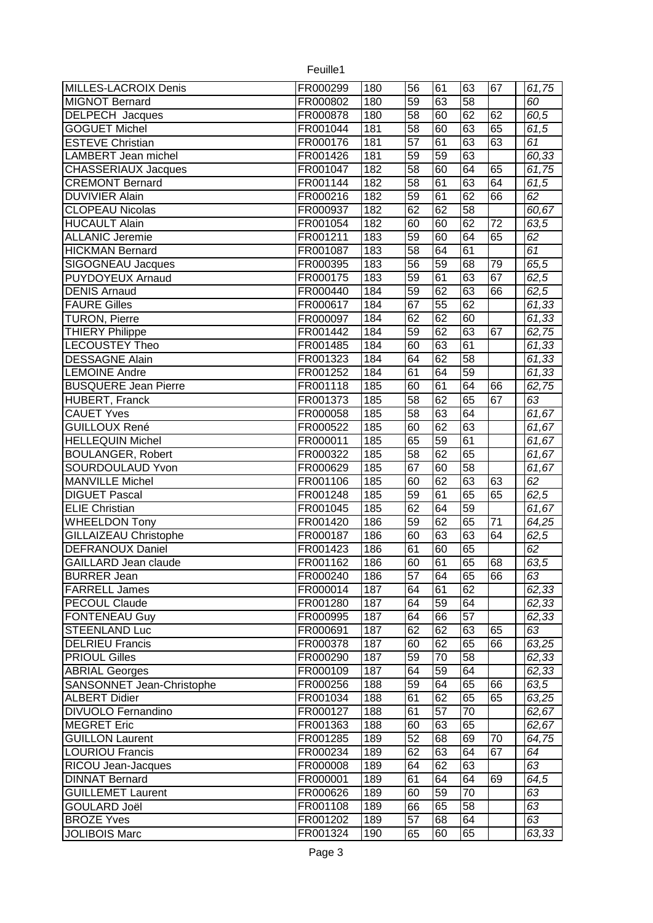| <b>MILLES-LACROIX Denis</b> | FR000299 | 180 | 56              | 61 | 63              | 67 |             |
|-----------------------------|----------|-----|-----------------|----|-----------------|----|-------------|
| <b>MIGNOT Bernard</b>       | FR000802 | 180 | $\overline{59}$ | 63 | $\overline{58}$ |    | 61,75<br>60 |
| <b>DELPECH</b> Jacques      | FR000878 | 180 | $\overline{58}$ | 60 | 62              | 62 | 60,5        |
|                             |          |     | $\overline{58}$ |    | 63              | 65 |             |
| <b>GOGUET Michel</b>        | FR001044 | 181 |                 | 60 |                 |    | 61,5        |
| <b>ESTEVE Christian</b>     | FR000176 | 181 | 57              | 61 | 63              | 63 | 61          |
| <b>LAMBERT</b> Jean michel  | FR001426 | 181 | 59              | 59 | 63              |    | 60,33       |
| <b>CHASSERIAUX Jacques</b>  | FR001047 | 182 | 58              | 60 | 64              | 65 | 61,75       |
| <b>CREMONT Bernard</b>      | FR001144 | 182 | $\overline{58}$ | 61 | 63              | 64 | 61,5        |
| <b>DUVIVIER Alain</b>       | FR000216 | 182 | $\overline{59}$ | 61 | 62              | 66 | 62          |
| <b>CLOPEAU Nicolas</b>      | FR000937 | 182 | 62              | 62 | $\overline{58}$ |    | 60,67       |
| <b>HUCAULT Alain</b>        | FR001054 | 182 | 60              | 60 | 62              | 72 | 63,5        |
| <b>ALLANIC Jeremie</b>      | FR001211 | 183 | $\overline{59}$ | 60 | 64              | 65 | 62          |
| <b>HICKMAN Bernard</b>      | FR001087 | 183 | 58              | 64 | 61              |    | 61          |
| <b>SIGOGNEAU Jacques</b>    | FR000395 | 183 | 56              | 59 | 68              | 79 | 65,5        |
| <b>PUYDOYEUX Arnaud</b>     | FR000175 | 183 | $\overline{59}$ | 61 | 63              | 67 | 62,5        |
| <b>DENIS Arnaud</b>         | FR000440 | 184 | $\overline{59}$ | 62 | 63              | 66 | 62,5        |
| <b>FAURE Gilles</b>         | FR000617 | 184 | $\overline{67}$ | 55 | 62              |    | 61,33       |
| <b>TURON, Pierre</b>        | FR000097 | 184 | 62              | 62 | 60              |    | 61,33       |
| <b>THIERY Philippe</b>      | FR001442 | 184 | 59              | 62 | 63              | 67 | 62,75       |
| LECOUSTEY Theo              | FR001485 | 184 | 60              | 63 | 61              |    | 61,33       |
| <b>DESSAGNE Alain</b>       | FR001323 | 184 | 64              | 62 | 58              |    | 61,33       |
| <b>LEMOINE Andre</b>        | FR001252 | 184 | 61              | 64 | 59              |    | 61,33       |
| <b>BUSQUERE Jean Pierre</b> | FR001118 | 185 | 60              | 61 | 64              | 66 | 62,75       |
| HUBERT, Franck              | FR001373 | 185 | 58              | 62 | 65              | 67 | 63          |
| <b>CAUET Yves</b>           | FR000058 | 185 | 58              | 63 | 64              |    | 61,67       |
| <b>GUILLOUX René</b>        | FR000522 | 185 | 60              | 62 | 63              |    | 61,67       |
| <b>HELLEQUIN Michel</b>     | FR000011 | 185 | 65              | 59 | 61              |    | 61,67       |
| <b>BOULANGER, Robert</b>    | FR000322 | 185 | 58              | 62 | 65              |    | 61,67       |
| SOURDOULAUD Yvon            | FR000629 | 185 | 67              | 60 | 58              |    | 61,67       |
| <b>MANVILLE Michel</b>      | FR001106 | 185 | 60              | 62 | 63              | 63 | 62          |
| <b>DIGUET Pascal</b>        | FR001248 | 185 | 59              | 61 | 65              | 65 | 62,5        |
|                             |          |     |                 |    |                 |    |             |
| <b>ELIE</b> Christian       | FR001045 | 185 | 62              | 64 | 59              |    | 61,67       |
| <b>WHEELDON Tony</b>        | FR001420 | 186 | $\overline{59}$ | 62 | 65              | 71 | 64,25       |
| GILLAIZEAU Christophe       | FR000187 | 186 | 60              | 63 | 63              | 64 | 62,5        |
| <b>DEFRANOUX Daniel</b>     | FR001423 | 186 | 61              | 60 | 65              |    | 62          |
| <b>GAILLARD Jean claude</b> | FR001162 | 186 | 60              | 61 | 65              | 68 | 63,5        |
| <b>BURRER Jean</b>          | FR000240 | 186 | 57              | 64 | 65              | 66 | 63          |
| <b>FARRELL James</b>        | FR000014 | 187 | 64              | 61 | 62              |    | 62,33       |
| <b>PECOUL Claude</b>        | FR001280 | 187 | 64              | 59 | 64              |    | 62,33       |
| <b>FONTENEAU Guy</b>        | FR000995 | 187 | 64              | 66 | 57              |    | 62,33       |
| <b>STEENLAND Luc</b>        | FR000691 | 187 | 62              | 62 | 63              | 65 | 63          |
| <b>DELRIEU Francis</b>      | FR000378 | 187 | 60              | 62 | 65              | 66 | 63,25       |
| <b>PRIOUL Gilles</b>        | FR000290 | 187 | 59              | 70 | 58              |    | 62,33       |
| <b>ABRIAL Georges</b>       | FR000109 | 187 | 64              | 59 | 64              |    | 62,33       |
| SANSONNET Jean-Christophe   | FR000256 | 188 | 59              | 64 | 65              | 66 | 63,5        |
| <b>ALBERT Didier</b>        | FR001034 | 188 | 61              | 62 | 65              | 65 | 63,25       |
| <b>DIVUOLO Fernandino</b>   | FR000127 | 188 | 61              | 57 | 70              |    | 62,67       |
| <b>MEGRET Eric</b>          | FR001363 | 188 | 60              | 63 | 65              |    | 62,67       |
| <b>GUILLON Laurent</b>      | FR001285 | 189 | 52              | 68 | 69              | 70 | 64,75       |
| <b>LOURIOU Francis</b>      | FR000234 | 189 | 62              | 63 | 64              | 67 | 64          |
| RICOU Jean-Jacques          | FR000008 | 189 | 64              | 62 | 63              |    | 63          |
| <b>DINNAT Bernard</b>       | FR000001 | 189 | 61              | 64 | 64              | 69 | 64,5        |
| <b>GUILLEMET Laurent</b>    | FR000626 | 189 | 60              | 59 | 70              |    | 63          |
| <b>GOULARD Joël</b>         | FR001108 | 189 | 66              | 65 | 58              |    | 63          |
| <b>BROZE Yves</b>           | FR001202 | 189 | 57              | 68 | 64              |    | 63          |
| <b>JOLIBOIS Marc</b>        | FR001324 | 190 | 65              | 60 | 65              |    | 63,33       |
|                             |          |     |                 |    |                 |    |             |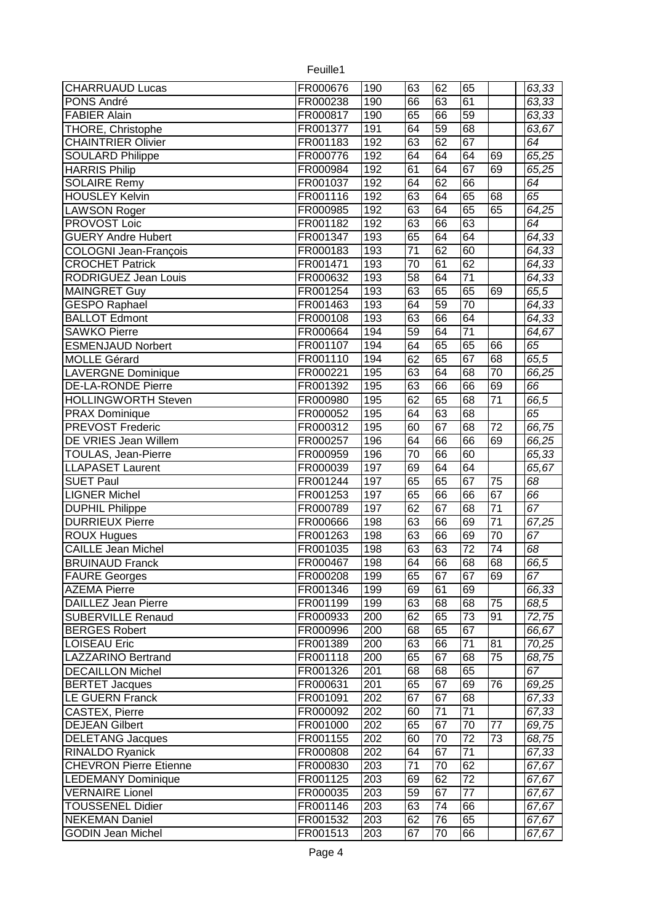| <b>CHARRUAUD Lucas</b>        | FR000676 | 190              | 63              | 62              | 65              |                 | 63,33 |
|-------------------------------|----------|------------------|-----------------|-----------------|-----------------|-----------------|-------|
| PONS André                    | FR000238 | 190              | 66              | 63              | 61              |                 | 63,33 |
| <b>FABIER Alain</b>           | FR000817 | 190              | 65              | 66              | 59              |                 | 63,33 |
| THORE, Christophe             | FR001377 | 191              | 64              | 59              | 68              |                 | 63,67 |
| <b>CHAINTRIER Olivier</b>     | FR001183 | 192              | 63              | 62              | 67              |                 | 64    |
| <b>SOULARD Philippe</b>       | FR000776 | 192              | 64              | 64              | 64              | 69              | 65,25 |
| <b>HARRIS Philip</b>          | FR000984 | 192              | 61              | 64              | 67              | 69              | 65,25 |
| <b>SOLAIRE Remy</b>           | FR001037 | 192              | 64              | 62              | 66              |                 | 64    |
| <b>HOUSLEY Kelvin</b>         | FR001116 | 192              | 63              | 64              | 65              | 68              | 65    |
| <b>LAWSON Roger</b>           | FR000985 | 192              | 63              | 64              | 65              | 65              | 64,25 |
| PROVOST Loic                  | FR001182 | 192              | 63              | 66              | 63              |                 | 64    |
| <b>GUERY Andre Hubert</b>     | FR001347 | 193              | 65              | 64              | 64              |                 | 64,33 |
| <b>COLOGNI Jean-François</b>  | FR000183 | 193              | $\overline{71}$ | 62              | 60              |                 | 64,33 |
| <b>CROCHET Patrick</b>        | FR001471 | 193              | 70              | 61              | 62              |                 | 64,33 |
| <b>RODRIGUEZ Jean Louis</b>   | FR000632 | 193              | $\overline{58}$ | 64              | $\overline{71}$ |                 | 64,33 |
| <b>MAINGRET Guy</b>           | FR001254 | 193              | 63              | 65              | 65              | 69              | 65,5  |
| <b>GESPO Raphael</b>          | FR001463 | 193              | 64              | 59              | $\overline{70}$ |                 | 64,33 |
| <b>BALLOT Edmont</b>          | FR000108 | 193              | 63              | 66              | 64              |                 | 64,33 |
| <b>SAWKO Pierre</b>           | FR000664 | 194              | 59              | 64              | $\overline{71}$ |                 | 64,67 |
| <b>ESMENJAUD Norbert</b>      | FR001107 | 194              | 64              | 65              | 65              | 66              | 65    |
| <b>MOLLE Gérard</b>           | FR001110 | 194              | 62              | 65              | 67              | 68              | 65,5  |
| <b>LAVERGNE Dominique</b>     | FR000221 | 195              | 63              | 64              | 68              | 70              | 66,25 |
| <b>DE-LA-RONDE Pierre</b>     | FR001392 | 195              | 63              | 66              | 66              | 69              | 66    |
| <b>HOLLINGWORTH Steven</b>    | FR000980 | 195              | 62              | 65              | 68              | 71              | 66,5  |
| <b>PRAX Dominique</b>         | FR000052 | 195              | 64              | 63              | 68              |                 | 65    |
| PREVOST Frederic              | FR000312 | 195              | 60              | 67              | 68              | 72              | 66,75 |
| DE VRIES Jean Willem          | FR000257 | 196              | 64              | 66              | 66              | 69              | 66,25 |
| <b>TOULAS, Jean-Pierre</b>    | FR000959 | 196              | 70              | 66              | 60              |                 | 65,33 |
| <b>LLAPASET Laurent</b>       | FR000039 | 197              | 69              | 64              | $6\overline{4}$ |                 | 65,67 |
| <b>SUET Paul</b>              | FR001244 | 197              | 65              | 65              | 67              | 75              | 68    |
| <b>LIGNER Michel</b>          | FR001253 | 197              | 65              | 66              | 66              | 67              | 66    |
| <b>DUPHIL Philippe</b>        | FR000789 | 197              | 62              | 67              | 68              | 71              | 67    |
| <b>DURRIEUX Pierre</b>        | FR000666 | 198              | 63              | 66              | 69              | $\overline{71}$ | 67,25 |
| <b>ROUX Hugues</b>            | FR001263 | 198              | 63              | 66              | 69              | 70              | 67    |
| <b>CAILLE Jean Michel</b>     | FR001035 | 198              | 63              | 63              | $\overline{72}$ | $\overline{74}$ | 68    |
| <b>BRUINAUD Franck</b>        | FR000467 | 198              | 64              | 66              | 68              | 68              | 66,5  |
| <b>FAURE Georges</b>          | FR000208 | 199              | 65              | 67              | 67              | 69              | 67    |
| <b>AZEMA Pierre</b>           | FR001346 | 199              | 69              | 61              | 69              |                 | 66,33 |
| DAILLEZ Jean Pierre           | FR001199 | 199              | 63              | 68              | 68              | 75              | 68,5  |
| <b>SUBERVILLE Renaud</b>      | FR000933 | 200              | 62              | 65              | 73              | 91              | 72,75 |
| <b>BERGES Robert</b>          | FR000996 | $\overline{200}$ | 68              | 65              | 67              |                 | 66,67 |
| <b>LOISEAU Eric</b>           | FR001389 | 200              | 63              | 66              | 71              | 81              | 70,25 |
| <b>LAZZARINO Bertrand</b>     | FR001118 | 200              | 65              | 67              | 68              | 75              | 68,75 |
| <b>DECAILLON Michel</b>       | FR001326 | 201              | 68              | 68              | 65              |                 | 67    |
| <b>BERTET Jacques</b>         | FR000631 | $\overline{201}$ | 65              | 67              | 69              | 76              | 69,25 |
| <b>LE GUERN Franck</b>        | FR001091 | 202              | 67              | 67              | 68              |                 | 67,33 |
| <b>CASTEX, Pierre</b>         | FR000092 | 202              | 60              | $\overline{71}$ | $\overline{71}$ |                 | 67,33 |
| <b>DEJEAN Gilbert</b>         | FR001000 | 202              | 65              | 67              | 70              | 77              | 69,75 |
| <b>DELETANG Jacques</b>       | FR001155 | 202              | 60              | 70              | $\overline{72}$ | $\overline{73}$ | 68,75 |
| <b>RINALDO Ryanick</b>        | FR000808 | 202              | 64              | 67              | 71              |                 | 67,33 |
| <b>CHEVRON Pierre Etienne</b> | FR000830 | 203              | 71              | 70              | 62              |                 | 67,67 |
| <b>LEDEMANY Dominique</b>     | FR001125 | 203              | 69              | 62              | 72              |                 | 67,67 |
| <b>VERNAIRE Lionel</b>        | FR000035 | 203              | 59              | 67              | 77              |                 | 67,67 |
| <b>TOUSSENEL Didier</b>       | FR001146 | 203              | 63              | 74              | 66              |                 | 67,67 |
| <b>NEKEMAN Daniel</b>         | FR001532 | 203              | 62              | 76              | 65              |                 | 67,67 |
| <b>GODIN Jean Michel</b>      | FR001513 | 203              | 67              | 70              | 66              |                 | 67,67 |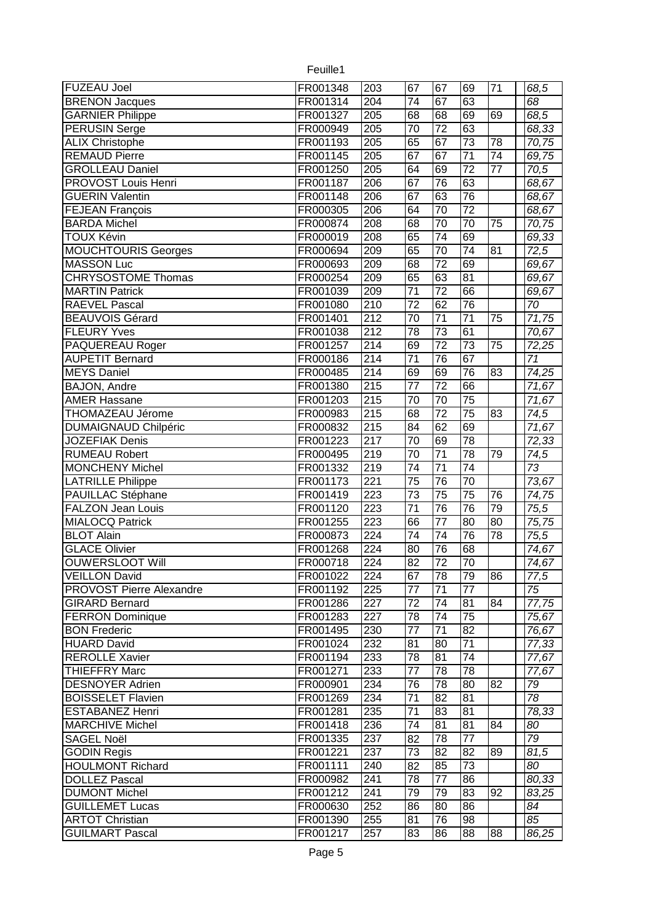| <b>FUZEAU Joel</b>          | FR001348 | 203                     | 67              | 67              | 69              | 71              | 68,5            |
|-----------------------------|----------|-------------------------|-----------------|-----------------|-----------------|-----------------|-----------------|
| <b>BRENON Jacques</b>       | FR001314 | $\overline{204}$        | 74              | 67              | 63              |                 | 68              |
| <b>GARNIER Philippe</b>     | FR001327 | 205                     | 68              | 68              | 69              | 69              | 68,5            |
| <b>PERUSIN Serge</b>        | FR000949 | 205                     | 70              | $\overline{72}$ | 63              |                 | 68,33           |
| <b>ALIX Christophe</b>      | FR001193 | $\overline{205}$        | 65              | 67              | $\overline{73}$ | 78              | 70,75           |
| <b>REMAUD Pierre</b>        | FR001145 | $\overline{205}$        | 67              | 67              | $\overline{71}$ | $\overline{74}$ | 69,75           |
| <b>GROLLEAU Daniel</b>      | FR001250 | $\overline{205}$        | 64              | 69              | 72              | $\overline{77}$ | 70,5            |
| <b>PROVOST Louis Henri</b>  | FR001187 | 206                     | 67              | 76              | 63              |                 | 68,67           |
| <b>GUERIN Valentin</b>      | FR001148 | 206                     | 67              | 63              | 76              |                 | 68,67           |
| <b>FEJEAN François</b>      | FR000305 | 206                     | 64              | 70              | 72              |                 | 68,67           |
| <b>BARDA Michel</b>         | FR000874 | 208                     | 68              | $\overline{70}$ | 70              | $\overline{75}$ | 70,75           |
| <b>TOUX Kévin</b>           | FR000019 | 208                     | 65              | $\overline{74}$ | 69              |                 | 69,33           |
| <b>MOUCHTOURIS Georges</b>  | FR000694 | 209                     | 65              | 70              | 74              | 81              | 72,5            |
| <b>MASSON Luc</b>           | FR000693 | 209                     | 68              | $\overline{72}$ | 69              |                 | 69,67           |
| <b>CHRYSOSTOME Thomas</b>   | FR000254 | $\overline{209}$        | 65              | 63              | 81              |                 | 69,67           |
| <b>MARTIN Patrick</b>       | FR001039 | 209                     | $\overline{71}$ | $\overline{72}$ | 66              |                 | 69,67           |
| <b>RAEVEL Pascal</b>        | FR001080 | $\overline{210}$        | $\overline{72}$ | 62              | 76              |                 | 70              |
| <b>BEAUVOIS Gérard</b>      | FR001401 | $\overline{212}$        | $\overline{70}$ | $\overline{71}$ | 71              | 75              | 71,75           |
| <b>FLEURY Yves</b>          | FR001038 | $\overline{212}$        | 78              | $\overline{73}$ | 61              |                 | 70,67           |
| PAQUEREAU Roger             | FR001257 | 214                     | 69              | $\overline{72}$ | $\overline{73}$ | 75              | 72,25           |
| <b>AUPETIT Bernard</b>      | FR000186 | 214                     | 71              | 76              | 67              |                 | 71              |
| <b>MEYS Daniel</b>          | FR000485 | 214                     | 69              | 69              | 76              | 83              | 74,25           |
| BAJON, Andre                | FR001380 | 215                     | 77              | $\overline{72}$ | 66              |                 | 71,67           |
| <b>AMER Hassane</b>         | FR001203 | 215                     | 70              | 70              | 75              |                 | 71,67           |
|                             | FR000983 | 215                     | 68              | $\overline{72}$ | 75              | 83              | 74,5            |
| THOMAZEAU Jérome            |          |                         | 84              | 62              | 69              |                 |                 |
| <b>DUMAIGNAUD Chilpéric</b> | FR000832 | 215<br>$\overline{217}$ |                 |                 |                 |                 | 71,67           |
| <b>JOZEFIAK Denis</b>       | FR001223 |                         | 70              | 69              | 78              |                 | 72,33           |
| <b>RUMEAU Robert</b>        | FR000495 | 219                     | 70              | $\overline{71}$ | 78              | 79              | 74,5            |
| <b>MONCHENY Michel</b>      | FR001332 | $\overline{219}$        | 74              | $\overline{71}$ | $\overline{74}$ |                 | 73              |
| <b>LATRILLE Philippe</b>    | FR001173 | 221                     | $\overline{75}$ | 76              | 70              |                 | 73,67           |
| PAUILLAC Stéphane           | FR001419 | $\overline{223}$        | 73              | $\overline{75}$ | 75              | 76              | 74,75           |
| <b>FALZON Jean Louis</b>    | FR001120 | $\overline{223}$        | $\overline{71}$ | $\overline{76}$ | $\overline{76}$ | $\overline{79}$ | 75,5            |
| <b>MIALOCQ Patrick</b>      | FR001255 | 223                     | 66              | $\overline{77}$ | 80              | $\overline{80}$ | 75,75           |
| <b>BLOT Alain</b>           | FR000873 | 224                     | 74              | 74              | 76              | $\overline{78}$ | 75,5            |
| <b>GLACE Olivier</b>        | FR001268 | $\overline{224}$        | 80              | 76              | 68              |                 | 74,67           |
| <b>OUWERSLOOT Will</b>      | FR000718 | 224                     | 82              | 72              | 70              |                 | 74,67           |
| VEILLON David               | FR001022 | 224                     | 67              | 78              | 79              | 86              | 77,5            |
| PROVOST Pierre Alexandre    | FR001192 | 225                     | 77              | 71              | 77              |                 | 75              |
| <b>GIRARD Bernard</b>       | FR001286 | 227                     | 72              | 74              | 81              | 84              | 77,75           |
| <b>FERRON Dominique</b>     | FR001283 | 227                     | 78              | 74              | 75              |                 | 75,67           |
| <b>BON Frederic</b>         | FR001495 | 230                     | 77              | 71              | 82              |                 | 76,67           |
| <b>HUARD David</b>          | FR001024 | 232                     | 81              | 80              | 71              |                 | 77,33           |
| <b>REROLLE Xavier</b>       | FR001194 | 233                     | 78              | 81              | 74              |                 | 77,67           |
| <b>THIEFFRY Marc</b>        | FR001271 | 233                     | 77              | 78              | 78              |                 | 77,67           |
| <b>DESNOYER Adrien</b>      | FR000901 | 234                     | 76              | 78              | 80              | 82              | 79              |
| <b>BOISSELET Flavien</b>    | FR001269 | 234                     | 71              | 82              | 81              |                 | 78              |
| <b>ESTABANEZ Henri</b>      | FR001281 | 235                     | 71              | 83              | 81              |                 | 78,33           |
| <b>MARCHIVE Michel</b>      | FR001418 | 236                     | 74              | 81              | 81              | 84              | 80              |
| <b>SAGEL Noël</b>           | FR001335 | 237                     | 82              | 78              | $\overline{77}$ |                 | $\overline{79}$ |
| <b>GODIN Regis</b>          | FR001221 | 237                     | 73              | 82              | 82              | 89              | 81,5            |
| <b>HOULMONT Richard</b>     | FR001111 | 240                     | 82              | 85              | 73              |                 | 80              |
| <b>DOLLEZ Pascal</b>        | FR000982 | 241                     | 78              | 77              | 86              |                 | 80,33           |
| <b>DUMONT Michel</b>        | FR001212 | 241                     | 79              | 79              | 83              | 92              | 83,25           |
| <b>GUILLEMET Lucas</b>      | FR000630 | 252                     | 86              | 80              | 86              |                 | 84              |
| <b>ARTOT Christian</b>      | FR001390 | 255                     | 81              | 76              | 98              |                 | 85              |
| <b>GUILMART Pascal</b>      | FR001217 | 257                     | 83              | 86              | 88              | 88              | 86,25           |
|                             |          |                         |                 |                 |                 |                 |                 |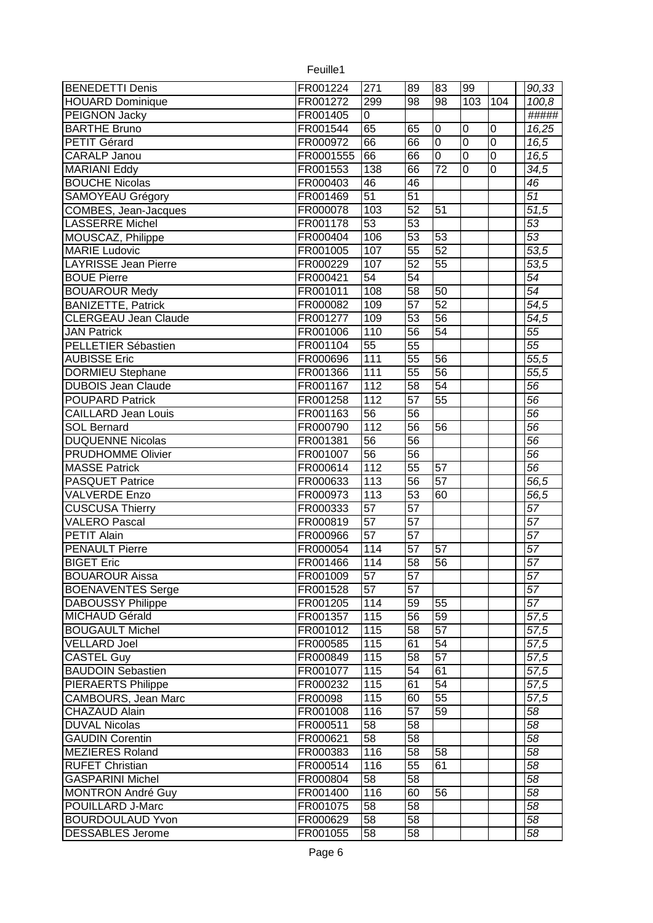| <b>BENEDETTI Denis</b>      | FR001224  | 271              | 89              | $\overline{\text{83}}$ | 99             |                  | 90,33              |
|-----------------------------|-----------|------------------|-----------------|------------------------|----------------|------------------|--------------------|
| <b>HOUARD Dominique</b>     | FR001272  | 299              | 98              | 98                     | 103            | 104              | 100,8              |
| PEIGNON Jacky               | FR001405  | 0                |                 |                        |                |                  | #####              |
| <b>BARTHE Bruno</b>         | FR001544  | 65               | 65              | 0                      | 0              | $\boldsymbol{0}$ | 16,25              |
| <b>PETIT Gérard</b>         | FR000972  | 66               | 66              | $\overline{0}$         | $\overline{0}$ | $\overline{0}$   | 16,5               |
| <b>CARALP Janou</b>         | FR0001555 | 66               | 66              | $\overline{0}$         | $\overline{0}$ | $\overline{0}$   | 16,5               |
| <b>MARIANI Eddy</b>         | FR001553  | 138              | 66              | $\overline{72}$        | $\overline{0}$ | $\overline{0}$   | 34,5               |
| <b>BOUCHE Nicolas</b>       | FR000403  | 46               | 46              |                        |                |                  | $\overline{46}$    |
| <b>SAMOYEAU Grégory</b>     | FR001469  | $\overline{51}$  | $\overline{51}$ |                        |                |                  | $\overline{51}$    |
| COMBES, Jean-Jacques        | FR000078  | 103              | 52              | 51                     |                |                  | $\overline{51,5}$  |
| <b>LASSERRE Michel</b>      | FR001178  | $\overline{53}$  | 53              |                        |                |                  | 53                 |
| MOUSCAZ, Philippe           | FR000404  | 106              | 53              | 53                     |                |                  | 53                 |
| <b>MARIE Ludovic</b>        | FR001005  | 107              | 55              | 52                     |                |                  | $\overline{53,5}$  |
| <b>LAYRISSE Jean Pierre</b> | FR000229  | 107              | 52              | 55                     |                |                  | $\overline{53,5}$  |
| <b>BOUE Pierre</b>          | FR000421  | $\overline{54}$  | $\overline{54}$ |                        |                |                  | $\overline{54}$    |
| <b>BOUAROUR Medy</b>        | FR001011  | 108              | 58              | 50                     |                |                  | 54                 |
| <b>BANIZETTE, Patrick</b>   | FR000082  | 109              | $\overline{57}$ | 52                     |                |                  | $\overline{54,5}$  |
| <b>CLERGEAU Jean Claude</b> | FR001277  | 109              | 53              | 56                     |                |                  | 54,5               |
| <b>JAN Patrick</b>          | FR001006  | 110              | 56              | 54                     |                |                  | 55                 |
| PELLETIER Sébastien         | FR001104  | $\overline{55}$  | 55              |                        |                |                  | 55                 |
| <b>AUBISSE Eric</b>         | FR000696  | 111              | $\overline{55}$ | 56                     |                |                  | 55,5               |
| <b>DORMIEU Stephane</b>     | FR001366  | 111              | $\overline{55}$ | 56                     |                |                  | 55,5               |
| <b>DUBOIS Jean Claude</b>   | FR001167  | $\overline{112}$ | 58              | 54                     |                |                  | 56                 |
| <b>POUPARD Patrick</b>      | FR001258  | 112              | 57              | 55                     |                |                  | 56                 |
| <b>CAILLARD Jean Louis</b>  | FR001163  | $\overline{56}$  | 56              |                        |                |                  | 56                 |
| <b>SOL Bernard</b>          | FR000790  | 112              | 56              | 56                     |                |                  | $\overline{56}$    |
| <b>DUQUENNE Nicolas</b>     | FR001381  | 56               | 56              |                        |                |                  | $\overline{56}$    |
| <b>PRUDHOMME Olivier</b>    | FR001007  | $\overline{56}$  | $\overline{56}$ |                        |                |                  | $\overline{56}$    |
| <b>MASSE Patrick</b>        | FR000614  | 112              | $\overline{55}$ | 57                     |                |                  | $\overline{56}$    |
| <b>PASQUET Patrice</b>      | FR000633  | 113              | $\overline{56}$ | 57                     |                |                  | $\overline{56}, 5$ |
| <b>VALVERDE Enzo</b>        | FR000973  | 113              | $\overline{53}$ | 60                     |                |                  | 56,5               |
| <b>CUSCUSA Thierry</b>      | FR000333  | 57               | $\overline{57}$ |                        |                |                  | 57                 |
| <b>VALERO Pascal</b>        | FR000819  | $\overline{57}$  | $\overline{57}$ |                        |                |                  | $\overline{57}$    |
| PETIT Alain                 | FR000966  | $\overline{57}$  | 57              |                        |                |                  | $\overline{57}$    |
| <b>PENAULT Pierre</b>       | FR000054  | 114              | $\overline{57}$ | 57                     |                |                  | $\overline{57}$    |
| <b>BIGET Eric</b>           | FR001466  | 114              | 58              | 56                     |                |                  | 57                 |
| <b>BOUAROUR Aissa</b>       | FR001009  | 57               | 57              |                        |                |                  | 57                 |
| <b>BOENAVENTES Serge</b>    | FR001528  | $\overline{57}$  | 57              |                        |                |                  | $\overline{57}$    |
| <b>DABOUSSY Philippe</b>    | FR001205  | 114              | 59              | 55                     |                |                  | $\overline{57}$    |
| MICHAUD Gérald              | FR001357  | 115              | 56              | 59                     |                |                  | $\overline{57,5}$  |
| <b>BOUGAULT Michel</b>      | FR001012  | 115              | 58              | 57                     |                |                  | 57,5               |
| <b>VELLARD Joel</b>         | FR000585  | 115              | 61              | 54                     |                |                  | $\overline{57,5}$  |
| <b>CASTEL Guy</b>           | FR000849  | 115              | 58              | 57                     |                |                  | 57,5               |
| <b>BAUDOIN Sebastien</b>    | FR001077  | 115              | 54              | 61                     |                |                  | 57,5               |
| <b>PIERAERTS Philippe</b>   | FR000232  | 115              | 61              | 54                     |                |                  | 57,5               |
| CAMBOURS, Jean Marc         | FR00098   | 115              | 60              | 55                     |                |                  | 57,5               |
| <b>CHAZAUD Alain</b>        | FR001008  | 116              | $\overline{57}$ | 59                     |                |                  | 58                 |
| <b>DUVAL Nicolas</b>        | FR000511  | 58               | 58              |                        |                |                  | 58                 |
| <b>GAUDIN Corentin</b>      | FR000621  | $\overline{58}$  | $\overline{58}$ |                        |                |                  | $\overline{58}$    |
| <b>MEZIERES Roland</b>      | FR000383  | 116              | 58              | 58                     |                |                  | 58                 |
| <b>RUFET Christian</b>      | FR000514  | 116              | 55              | 61                     |                |                  | 58                 |
| <b>GASPARINI Michel</b>     | FR000804  | 58               | 58              |                        |                |                  | 58                 |
| <b>MONTRON André Guy</b>    | FR001400  | 116              | 60              | 56                     |                |                  | 58                 |
| POUILLARD J-Marc            | FR001075  | 58               | 58              |                        |                |                  | 58                 |
| <b>BOURDOULAUD Yvon</b>     | FR000629  | 58               | 58              |                        |                |                  | 58                 |
| <b>DESSABLES Jerome</b>     | FR001055  | 58               | 58              |                        |                |                  | 58                 |
|                             |           |                  |                 |                        |                |                  |                    |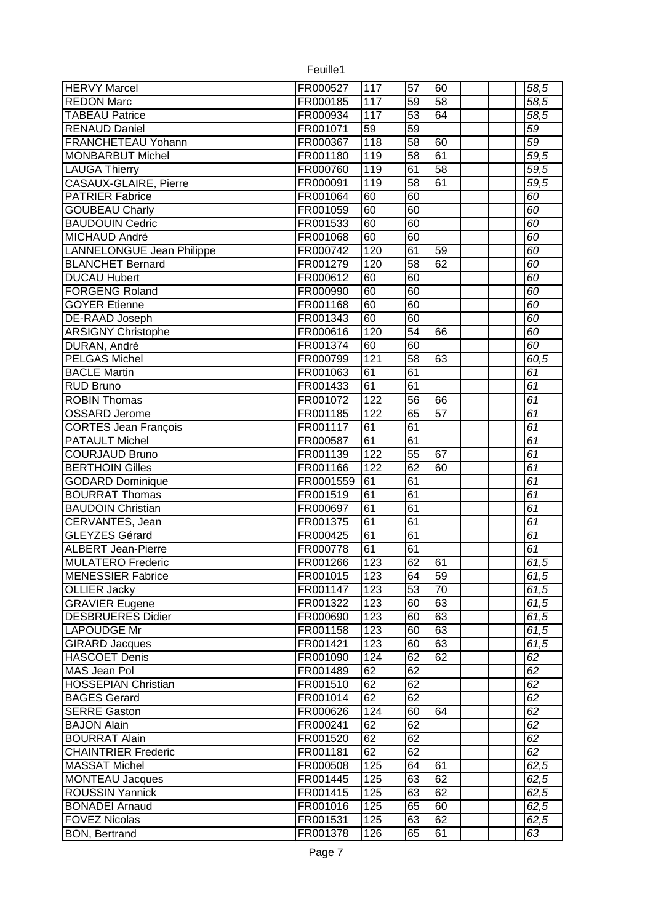| <b>HERVY Marcel</b>              | FR000527  | 117        | $\overline{57}$ | 60       |  | $\overline{58,5}$ |
|----------------------------------|-----------|------------|-----------------|----------|--|-------------------|
| <b>REDON Marc</b>                | FR000185  | 117        | $\overline{59}$ | 58       |  | 58,5              |
| <b>TABEAU Patrice</b>            | FR000934  | 117        | $\overline{53}$ | 64       |  | 58,5              |
| <b>RENAUD Daniel</b>             | FR001071  | 59         | 59              |          |  | 59                |
| <b>FRANCHETEAU Yohann</b>        | FR000367  | 118        | 58              | 60       |  | $\overline{59}$   |
| <b>MONBARBUT Michel</b>          | FR001180  | 119        | $\overline{58}$ | 61       |  | 59,5              |
| <b>LAUGA Thierry</b>             | FR000760  | 119        | 61              | 58       |  | 59,5              |
| CASAUX-GLAIRE, Pierre            | FR000091  | 119        | $\overline{58}$ | 61       |  | 59,5              |
| <b>PATRIER Fabrice</b>           | FR001064  | 60         | $\overline{60}$ |          |  | 60                |
| <b>GOUBEAU Charly</b>            | FR001059  | 60         | 60              |          |  | 60                |
| <b>BAUDOUIN Cedric</b>           | FR001533  | 60         | 60              |          |  | 60                |
| <b>MICHAUD André</b>             | FR001068  | 60         | 60              |          |  | 60                |
| <b>LANNELONGUE Jean Philippe</b> | FR000742  | 120        | 61              | 59       |  | 60                |
| <b>BLANCHET Bernard</b>          | FR001279  | 120        | $\overline{58}$ | 62       |  | 60                |
| <b>DUCAU Hubert</b>              | FR000612  | 60         | 60              |          |  | 60                |
| <b>FORGENG Roland</b>            | FR000990  | 60         | 60              |          |  | 60                |
| <b>GOYER Etienne</b>             | FR001168  | 60         | 60              |          |  | 60                |
| <b>DE-RAAD Joseph</b>            | FR001343  | 60         | 60              |          |  | 60                |
| <b>ARSIGNY Christophe</b>        | FR000616  | 120        | $\overline{54}$ | 66       |  | 60                |
| DURAN, André                     | FR001374  | 60         | 60              |          |  | 60                |
| <b>PELGAS Michel</b>             | FR000799  | 121        | $\overline{58}$ | 63       |  | 60,5              |
| <b>BACLE Martin</b>              | FR001063  | 61         | $\overline{61}$ |          |  | $\overline{61}$   |
| <b>RUD Bruno</b>                 | FR001433  | 61         | $\overline{61}$ |          |  | $\overline{61}$   |
| <b>ROBIN Thomas</b>              | FR001072  | 122        | $\overline{56}$ | 66       |  | $\overline{61}$   |
| <b>OSSARD Jerome</b>             | FR001185  | 122        | 65              | 57       |  | $\overline{61}$   |
| <b>CORTES Jean François</b>      | FR001117  | 61         | 61              |          |  | $\overline{61}$   |
| <b>PATAULT Michel</b>            | FR000587  | 61         | 61              |          |  | $\overline{61}$   |
|                                  |           |            |                 |          |  | 61                |
| <b>COURJAUD Bruno</b>            | FR001139  | 122        | 55              | 67       |  |                   |
| <b>BERTHOIN Gilles</b>           | FR001166  | 122        | 62              | 60       |  | 61                |
| <b>GODARD Dominique</b>          | FR0001559 | 61         | 61              |          |  | $\overline{61}$   |
| <b>BOURRAT Thomas</b>            | FR001519  | 61         | $\overline{61}$ |          |  | $\overline{61}$   |
| <b>BAUDOIN Christian</b>         | FR000697  | 61         | 61              |          |  | $\overline{61}$   |
| CERVANTES, Jean                  | FR001375  | 61         | 61              |          |  | 61                |
| GLEYZES Gérard                   | FR000425  | 61         | 61              |          |  | $\overline{61}$   |
| <b>ALBERT Jean-Pierre</b>        | FR000778  | 61         | 61              |          |  | 61                |
| <b>MULATERO Frederic</b>         | FR001266  | 123        | 62              | 61       |  | 61,5              |
| <b>MENESSIER Fabrice</b>         | FR001015  | 123        | 64              | 59       |  | 61,5              |
| <b>OLLIER Jacky</b>              | FR001147  | 123        | $\overline{53}$ | 70       |  | 61,5              |
| <b>GRAVIER Eugene</b>            | FR001322  | 123        | 60              | 63       |  | 61,5              |
| <b>DESBRUERES Didier</b>         | FR000690  | 123        | 60              | 63       |  | 61,5              |
| <b>LAPOUDGE Mr</b>               | FR001158  | 123        | 60              | 63       |  | 61,5              |
| <b>GIRARD Jacques</b>            | FR001421  | 123        | 60              | 63       |  | 61,5              |
| <b>HASCOET Denis</b>             | FR001090  | 124        | 62              | 62       |  | 62                |
| MAS Jean Pol                     | FR001489  | 62         | 62              |          |  | 62                |
| <b>HOSSEPIAN Christian</b>       | FR001510  | 62         | 62              |          |  | 62                |
| <b>BAGES Gerard</b>              | FR001014  | 62         | 62              |          |  | 62                |
| <b>SERRE</b> Gaston              | FR000626  | 124        | 60              | 64       |  | 62                |
| <b>BAJON Alain</b>               | FR000241  | 62         | 62              |          |  | 62                |
| <b>BOURRAT Alain</b>             | FR001520  | 62         | 62              |          |  | 62                |
| <b>CHAINTRIER Frederic</b>       | FR001181  | 62         | 62              |          |  | 62                |
| <b>MASSAT Michel</b>             | FR000508  | 125        | 64              | 61       |  | 62,5              |
| <b>MONTEAU Jacques</b>           | FR001445  | 125        | 63              | 62       |  | 62,5              |
| <b>ROUSSIN Yannick</b>           | FR001415  | 125        | 63              | 62       |  | 62,5              |
| <b>BONADEI Arnaud</b>            | FR001016  | 125        | 65              | 60       |  | 62,5              |
| <b>FOVEZ Nicolas</b>             | FR001531  | 125<br>126 | 63<br>65        | 62<br>61 |  | 62,5<br>63        |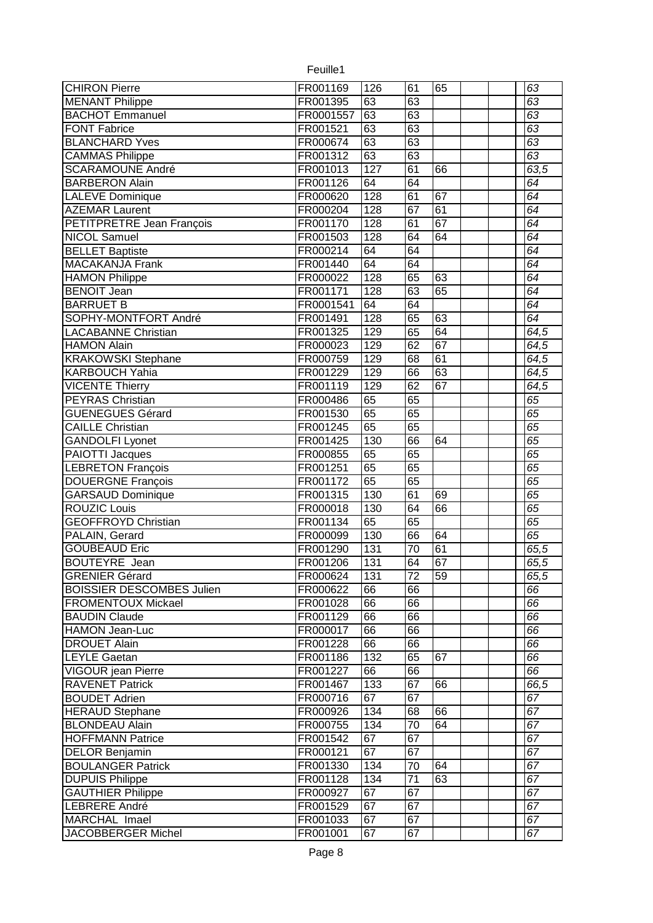| <b>CHIRON Pierre</b>             | FR001169             | 126 | 61              | 65 |  | 63              |
|----------------------------------|----------------------|-----|-----------------|----|--|-----------------|
| <b>MENANT Philippe</b>           | FR001395             | 63  | 63              |    |  | 63              |
| <b>BACHOT Emmanuel</b>           | FR0001557            | 63  | 63              |    |  | 63              |
| <b>FONT Fabrice</b>              | FR001521             | 63  | 63              |    |  | 63              |
| <b>BLANCHARD Yves</b>            | FR000674             | 63  | 63              |    |  | 63              |
| <b>CAMMAS Philippe</b>           | FR001312             | 63  | 63              |    |  | 63              |
| <b>SCARAMOUNE André</b>          | FR001013             | 127 | 61              | 66 |  | 63,5            |
| <b>BARBERON Alain</b>            | FR001126             | 64  | 64              |    |  | $\overline{64}$ |
| <b>LALEVE Dominique</b>          | FR000620             | 128 | 61              | 67 |  | $\overline{64}$ |
| <b>AZEMAR Laurent</b>            | FR000204             | 128 | 67              | 61 |  | 64              |
| <b>PETITPRETRE Jean François</b> | FR001170             | 128 | 61              | 67 |  | 64              |
| <b>NICOL Samuel</b>              | FR001503             | 128 | 64              | 64 |  | 64              |
| <b>BELLET Baptiste</b>           | FR000214             | 64  | 64              |    |  | 64              |
| <b>MACAKANJA Frank</b>           | FR001440             | 64  | 64              |    |  | 64              |
| <b>HAMON Philippe</b>            | FR000022             | 128 | 65              | 63 |  | 64              |
| <b>BENOIT Jean</b>               | FR001171             | 128 | 63              | 65 |  | 64              |
| <b>BARRUET B</b>                 | FR0001541            | 64  | 64              |    |  | 64              |
| SOPHY-MONTFORT André             | FR001491             | 128 | 65              | 63 |  | 64              |
| <b>LACABANNE Christian</b>       | FR001325             | 129 | 65              | 64 |  | 64,5            |
| <b>HAMON Alain</b>               | FR000023             | 129 | $\overline{62}$ | 67 |  | 64,5            |
| <b>KRAKOWSKI Stephane</b>        | FR000759             | 129 | 68              | 61 |  | 64,5            |
| <b>KARBOUCH Yahia</b>            | FR001229             | 129 | 66              | 63 |  | 64,5            |
| <b>VICENTE Thierry</b>           | FR001119             | 129 | 62              | 67 |  | 64,5            |
| <b>PEYRAS Christian</b>          | FR000486             | 65  | 65              |    |  | 65              |
| <b>GUENEGUES Gérard</b>          | FR001530             | 65  | 65              |    |  | 65              |
| <b>CAILLE Christian</b>          | FR001245             | 65  | 65              |    |  | 65              |
| <b>GANDOLFI Lyonet</b>           | FR001425             | 130 | 66              | 64 |  | 65              |
| PAIOTTI Jacques                  | FR000855             | 65  | 65              |    |  | 65              |
| <b>LEBRETON François</b>         | FR001251             | 65  | 65              |    |  | 65              |
| <b>DOUERGNE François</b>         | FR001172             | 65  | 65              |    |  | 65              |
| <b>GARSAUD Dominique</b>         | FR001315             | 130 | 61              | 69 |  | 65              |
| <b>ROUZIC Louis</b>              | FR000018             | 130 | 64              | 66 |  | 65              |
| <b>GEOFFROYD Christian</b>       | FR001134             | 65  | 65              |    |  | 65              |
| PALAIN, Gerard                   | FR000099             | 130 | 66              | 64 |  | 65              |
| <b>GOUBEAUD Eric</b>             | FR001290             | 131 | $\overline{70}$ | 61 |  | 65,5            |
| <b>BOUTEYRE</b> Jean             | FR001206             | 131 | 64              | 67 |  | 65,5            |
| <b>GRENIER Gérard</b>            | FR000624             | 131 | 72              | 59 |  | 65,5            |
| <b>BOISSIER DESCOMBES Julien</b> | FR000622             | 66  | 66              |    |  | 66              |
| <b>FROMENTOUX Mickael</b>        | FR001028             | 66  | 66              |    |  | 66              |
| <b>BAUDIN Claude</b>             | FR001129             | 66  | 66              |    |  | 66              |
| <b>HAMON Jean-Luc</b>            | FR000017             | 66  | 66              |    |  | 66              |
| <b>DROUET Alain</b>              | FR001228             | 66  | 66              |    |  | 66              |
| <b>LEYLE Gaetan</b>              | FR001186             | 132 | 65              | 67 |  | 66              |
| VIGOUR jean Pierre               | FR001227             | 66  | 66              |    |  | 66              |
| <b>RAVENET Patrick</b>           | FR001467             | 133 | 67              | 66 |  | 66,5            |
| <b>BOUDET Adrien</b>             | FR000716             | 67  | 67              |    |  | 67              |
| <b>HERAUD Stephane</b>           | FR000926             | 134 | 68              | 66 |  | 67              |
| <b>BLONDEAU Alain</b>            | FR000755             | 134 | $\overline{70}$ | 64 |  | $\overline{67}$ |
| <b>HOFFMANN Patrice</b>          | FR001542             | 67  | 67              |    |  | $\overline{67}$ |
| <b>DELOR Benjamin</b>            | FR000121             | 67  | 67              |    |  | 67              |
|                                  |                      | 134 | 70              | 64 |  | 67              |
| <b>BOULANGER Patrick</b>         | FR001330<br>FR001128 | 134 | $\overline{71}$ | 63 |  | $\overline{67}$ |
| <b>DUPUIS Philippe</b>           |                      | 67  |                 |    |  | 67              |
| <b>GAUTHIER Philippe</b>         | FR000927             | 67  | 67<br>67        |    |  | 67              |
| LEBRERE André<br>MARCHAL Imael   | FR001529             | 67  |                 |    |  | 67              |
|                                  | FR001033<br>FR001001 |     | 67              |    |  |                 |
| JACOBBERGER Michel               |                      | 67  | 67              |    |  | 67              |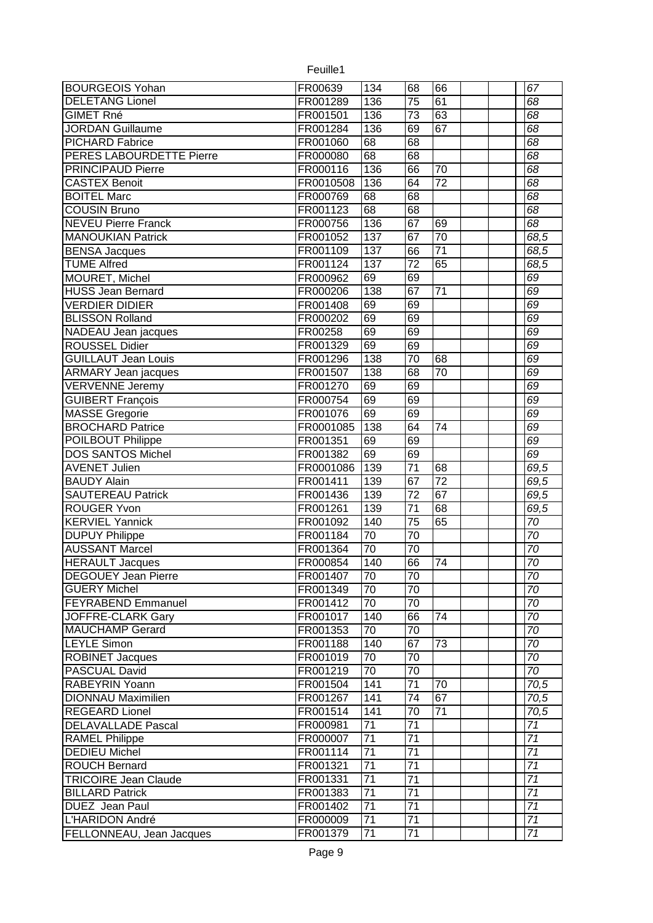| <b>BOURGEOIS Yohan</b>      | FR00639   | 134                   | 68                    | 66              |  | $\overline{67}$       |
|-----------------------------|-----------|-----------------------|-----------------------|-----------------|--|-----------------------|
| <b>DELETANG Lionel</b>      | FR001289  | 136                   | $\overline{75}$       | 61              |  | 68                    |
| <b>GIMET Rné</b>            | FR001501  | 136                   | $\overline{73}$       | 63              |  | 68                    |
| <b>JORDAN Guillaume</b>     | FR001284  | 136                   | 69                    | 67              |  | 68                    |
| <b>PICHARD Fabrice</b>      | FR001060  | 68                    | $\overline{68}$       |                 |  | $\overline{68}$       |
| PERES LABOURDETTE Pierre    | FR000080  | 68                    | 68                    |                 |  | 68                    |
| <b>PRINCIPAUD Pierre</b>    | FR000116  | 136                   | 66                    | $\overline{70}$ |  | 68                    |
| <b>CASTEX Benoit</b>        | FR0010508 | 136                   | 64                    | 72              |  | 68                    |
| <b>BOITEL Marc</b>          | FR000769  | 68                    | $\overline{68}$       |                 |  | 68                    |
| <b>COUSIN Bruno</b>         | FR001123  | 68                    | 68                    |                 |  | 68                    |
| <b>NEVEU Pierre Franck</b>  | FR000756  | 136                   | 67                    | 69              |  | 68                    |
| <b>MANOUKIAN Patrick</b>    | FR001052  | 137                   | $\overline{67}$       | 70              |  | 68,5                  |
| <b>BENSA Jacques</b>        | FR001109  | 137                   | 66                    | $\overline{71}$ |  | 68,5                  |
| <b>TUME Alfred</b>          | FR001124  | 137                   | $\overline{72}$       | 65              |  | 68,5                  |
| <b>MOURET, Michel</b>       | FR000962  | 69                    | 69                    |                 |  | 69                    |
| <b>HUSS Jean Bernard</b>    | FR000206  | 138                   | 67                    | $\overline{71}$ |  | 69                    |
| <b>VERDIER DIDIER</b>       | FR001408  | 69                    | 69                    |                 |  | 69                    |
| <b>BLISSON Rolland</b>      | FR000202  | 69                    | 69                    |                 |  | 69                    |
| <b>NADEAU</b> Jean jacques  | FR00258   | 69                    | 69                    |                 |  | 69                    |
| <b>ROUSSEL Didier</b>       | FR001329  | 69                    | 69                    |                 |  | 69                    |
| <b>GUILLAUT Jean Louis</b>  | FR001296  | 138                   | 70                    | 68              |  | 69                    |
| <b>ARMARY Jean jacques</b>  | FR001507  | 138                   | 68                    | 70              |  | 69                    |
| VERVENNE Jeremy             | FR001270  | 69                    | 69                    |                 |  | 69                    |
| <b>GUIBERT</b> François     | FR000754  | 69                    | 69                    |                 |  | 69                    |
| <b>MASSE Gregorie</b>       | FR001076  | 69                    | 69                    |                 |  | 69                    |
| <b>BROCHARD Patrice</b>     | FR0001085 | 138                   | 64                    | $\overline{74}$ |  | 69                    |
| <b>POILBOUT Philippe</b>    | FR001351  | 69                    | 69                    |                 |  | 69                    |
| <b>DOS SANTOS Michel</b>    | FR001382  | 69                    | 69                    |                 |  | 69                    |
| <b>AVENET Julien</b>        | FR0001086 | 139                   | $\overline{71}$       | 68              |  | 69,5                  |
| <b>BAUDY Alain</b>          | FR001411  | 139                   | 67                    | $\overline{72}$ |  |                       |
| <b>SAUTEREAU Patrick</b>    |           | 139                   | $\overline{72}$       | 67              |  | 69,5                  |
| <b>ROUGER Yvon</b>          | FR001436  | 139                   | $\overline{71}$       | 68              |  | 69,5                  |
|                             | FR001261  |                       | $\overline{75}$       | 65              |  | 69,5                  |
| <b>KERVIEL Yannick</b>      | FR001092  | 140                   |                       |                 |  | 70                    |
| <b>DUPUY Philippe</b>       | FR001184  | 70<br>$\overline{70}$ | 70<br>$\overline{70}$ |                 |  | 70<br>$\overline{70}$ |
| <b>AUSSANT Marcel</b>       | FR001364  |                       |                       | 74              |  |                       |
| <b>HERAULT Jacques</b>      | FR000854  | 140                   | 66                    |                 |  | 70                    |
| <b>DEGOUEY Jean Pierre</b>  | FR001407  | 70                    | 70<br>$\overline{70}$ |                 |  | $70$                  |
| <b>GUERY Michel</b>         | FR001349  | 70                    |                       |                 |  | 70                    |
| <b>FEYRABEND Emmanuel</b>   | FR001412  | $\overline{70}$       | $\overline{70}$       |                 |  | $\overline{70}$       |
| JOFFRE-CLARK Gary           | FR001017  | 140                   | 66                    | 74              |  | $\overline{70}$       |
| <b>MAUCHAMP Gerard</b>      | FR001353  | $\overline{70}$       | $\overline{70}$       |                 |  | 70                    |
| <b>LEYLE Simon</b>          | FR001188  | 140                   | 67                    | 73              |  | $\overline{70}$       |
| <b>ROBINET Jacques</b>      | FR001019  | 70                    | 70                    |                 |  | $\overline{70}$       |
| PASCUAL David               | FR001219  | 70                    | 70                    |                 |  | $\overline{70}$       |
| RABEYRIN Yoann              | FR001504  | 141                   | $\overline{71}$       | 70              |  | 70,5                  |
| <b>DIONNAU Maximilien</b>   | FR001267  | 141                   | $\overline{74}$       | 67              |  | 70,5                  |
| <b>REGEARD Lionel</b>       | FR001514  | 141                   | 70                    | 71              |  | 70,5                  |
| <b>DELAVALLADE Pascal</b>   | FR000981  | $\overline{71}$       | $\overline{71}$       |                 |  | $\overline{71}$       |
| <b>RAMEL Philippe</b>       | FR000007  | $\overline{71}$       | $\overline{71}$       |                 |  | $\overline{71}$       |
| <b>DEDIEU Michel</b>        | FR001114  | $\overline{71}$       | $\overline{71}$       |                 |  | $\overline{71}$       |
| <b>ROUCH Bernard</b>        | FR001321  | $\overline{71}$       | $\overline{71}$       |                 |  | $\overline{71}$       |
| <b>TRICOIRE Jean Claude</b> | FR001331  | 71                    | 71                    |                 |  | 71                    |
| <b>BILLARD Patrick</b>      | FR001383  | $\overline{71}$       | $\overline{71}$       |                 |  | $\overline{71}$       |
| <b>DUEZ</b> Jean Paul       | FR001402  | 71                    | $\overline{71}$       |                 |  | 71                    |
| L'HARIDON André             | FR000009  | 71                    | $\overline{71}$       |                 |  | $\overline{71}$       |
| FELLONNEAU, Jean Jacques    | FR001379  | 71                    | 71                    |                 |  | 71                    |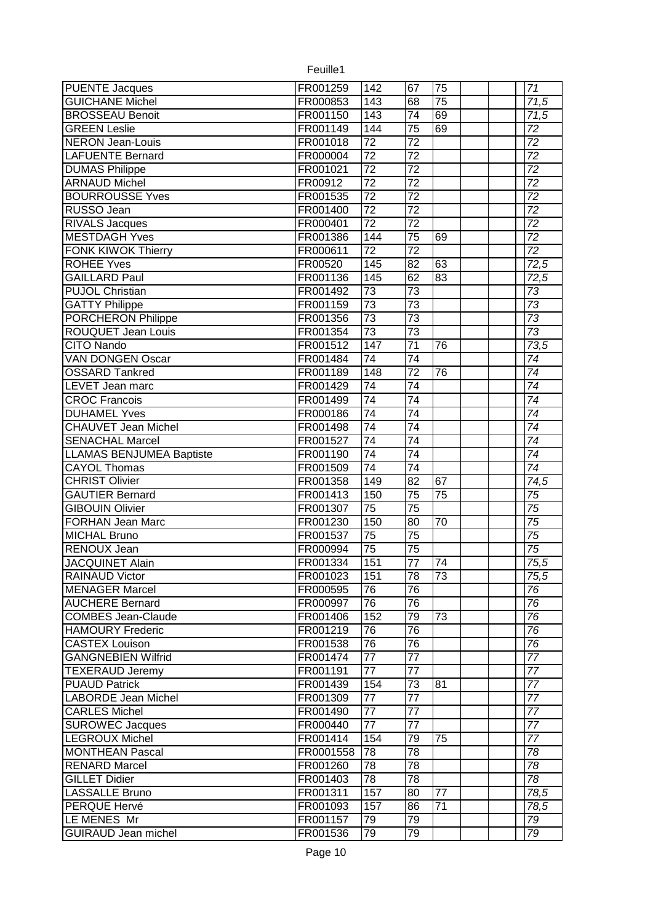| <b>PUENTE Jacques</b>           | FR001259  | 142              | 67              | 75              |  | $\overline{71}$   |
|---------------------------------|-----------|------------------|-----------------|-----------------|--|-------------------|
| <b>GUICHANE Michel</b>          | FR000853  | $\overline{143}$ | $\overline{68}$ | $\overline{75}$ |  | 71,5              |
| <b>BROSSEAU Benoit</b>          | FR001150  | $\overline{143}$ | $\overline{74}$ | 69              |  | 71,5              |
| <b>GREEN Leslie</b>             | FR001149  | 144              | $\overline{75}$ | 69              |  | 72                |
| <b>NERON Jean-Louis</b>         | FR001018  | $\overline{72}$  | $\overline{72}$ |                 |  | $\overline{72}$   |
| <b>LAFUENTE Bernard</b>         | FR000004  | $\overline{72}$  | $\overline{72}$ |                 |  | $\overline{72}$   |
| <b>DUMAS Philippe</b>           | FR001021  | $\overline{72}$  | $\overline{72}$ |                 |  | $\overline{72}$   |
| <b>ARNAUD Michel</b>            | FR00912   | $\overline{72}$  | $\overline{72}$ |                 |  | $\overline{72}$   |
| <b>BOURROUSSE Yves</b>          | FR001535  | $\overline{72}$  | $\overline{72}$ |                 |  | $\overline{72}$   |
| RUSSO Jean                      | FR001400  | $\overline{72}$  | $\overline{72}$ |                 |  | $\overline{72}$   |
| <b>RIVALS Jacques</b>           | FR000401  | $\overline{72}$  | $\overline{72}$ |                 |  | $\overline{72}$   |
| <b>MESTDAGH Yves</b>            | FR001386  | 144              | 75              | 69              |  | $\overline{72}$   |
| <b>FONK KIWOK Thierry</b>       | FR000611  | $\overline{72}$  | $\overline{72}$ |                 |  | $\overline{72}$   |
| <b>ROHEE Yves</b>               | FR00520   | 145              | $\overline{82}$ | 63              |  | 72,5              |
| <b>GAILLARD Paul</b>            | FR001136  | 145              | 62              | 83              |  | 72,5              |
| <b>PUJOL Christian</b>          | FR001492  | $\overline{73}$  | $\overline{73}$ |                 |  | $\overline{73}$   |
| <b>GATTY Philippe</b>           | FR001159  | $\overline{73}$  | $\overline{73}$ |                 |  | $\overline{73}$   |
| <b>PORCHERON Philippe</b>       | FR001356  | $\overline{73}$  | $\overline{73}$ |                 |  | $\overline{73}$   |
| <b>ROUQUET Jean Louis</b>       | FR001354  | $\overline{73}$  | $\overline{73}$ |                 |  | $\overline{73}$   |
| <b>CITO Nando</b>               | FR001512  | 147              | $\overline{71}$ | 76              |  | 73,5              |
| <b>VAN DONGEN Oscar</b>         | FR001484  | 74               | $\overline{74}$ |                 |  | 74                |
|                                 |           |                  |                 | $\overline{76}$ |  |                   |
| <b>OSSARD Tankred</b>           | FR001189  | 148              | 72              |                 |  | $\overline{74}$   |
| LEVET Jean marc                 | FR001429  | $\overline{74}$  | $\overline{74}$ |                 |  | $\overline{74}$   |
| <b>CROC Francois</b>            | FR001499  | 74               | $\overline{74}$ |                 |  | $\overline{74}$   |
| <b>DUHAMEL Yves</b>             | FR000186  | $\overline{74}$  | $\overline{74}$ |                 |  | $\overline{74}$   |
| <b>CHAUVET Jean Michel</b>      | FR001498  | 74               | $\overline{74}$ |                 |  | $\overline{74}$   |
| <b>SENACHAL Marcel</b>          | FR001527  | $\overline{74}$  | $\overline{74}$ |                 |  | $\overline{74}$   |
| <b>LLAMAS BENJUMEA Baptiste</b> | FR001190  | 74               | $\overline{74}$ |                 |  | $\overline{74}$   |
| <b>CAYOL Thomas</b>             | FR001509  | $\overline{74}$  | $\overline{74}$ |                 |  | $\overline{74}$   |
| <b>CHRIST Olivier</b>           | FR001358  | 149              | 82              | 67              |  | $\overline{74,5}$ |
| <b>GAUTIER Bernard</b>          | FR001413  | 150              | $\overline{75}$ | 75              |  | 75                |
| <b>GIBOUIN Olivier</b>          | FR001307  | $\overline{75}$  | $\overline{75}$ |                 |  | 75                |
| <b>FORHAN Jean Marc</b>         | FR001230  | 150              | 80              | $\overline{70}$ |  | $\overline{75}$   |
| <b>MICHAL Bruno</b>             | FR001537  | 75               | $\overline{75}$ |                 |  | 75                |
| <b>RENOUX Jean</b>              | FR000994  | $\overline{75}$  | $\overline{75}$ |                 |  | $\overline{75}$   |
| <b>JACQUINET Alain</b>          | FR001334  | 151              | 77              | 74              |  | 75,5              |
| <b>RAINAUD Victor</b>           | FR001023  | 151              | 78              | 73              |  | 75,5              |
| <b>MENAGER Marcel</b>           | FR000595  | $\overline{76}$  | 76              |                 |  | 76                |
| <b>AUCHERE Bernard</b>          | FR000997  | 76               | 76              |                 |  | 76                |
| <b>COMBES Jean-Claude</b>       | FR001406  | 152              | 79              | 73              |  | 76                |
| <b>HAMOURY Frederic</b>         | FR001219  | 76               | 76              |                 |  | $\overline{76}$   |
| <b>CASTEX Louison</b>           | FR001538  | 76               | 76              |                 |  | 76                |
| <b>GANGNEBIEN Wilfrid</b>       | FR001474  | $\overline{77}$  | 77              |                 |  | $\overline{77}$   |
| <b>TEXERAUD Jeremy</b>          | FR001191  | $\overline{77}$  | 77              |                 |  | 77                |
| <b>PUAUD Patrick</b>            | FR001439  | 154              | 73              | 81              |  | 77                |
| <b>LABORDE Jean Michel</b>      | FR001309  | 77               | 77              |                 |  | 77                |
| <b>CARLES Michel</b>            | FR001490  | $\overline{77}$  | 77              |                 |  | $\overline{77}$   |
| <b>SUROWEC Jacques</b>          | FR000440  | $\overline{77}$  | $\overline{77}$ |                 |  | $\overline{77}$   |
| LEGROUX Michel                  | FR001414  | 154              | 79              | $\overline{75}$ |  | $\overline{77}$   |
| <b>MONTHEAN Pascal</b>          | FR0001558 | 78               | 78              |                 |  | 78                |
| <b>RENARD Marcel</b>            | FR001260  | $\overline{78}$  | $\overline{78}$ |                 |  | $\overline{78}$   |
| <b>GILLET Didier</b>            |           | $\overline{78}$  | 78              |                 |  | 78                |
|                                 | FR001403  |                  |                 | $\overline{77}$ |  |                   |
| <b>LASSALLE Bruno</b>           | FR001311  | 157              | 80              |                 |  | 78,5              |
| <b>PERQUE Hervé</b>             | FR001093  | 157              | 86              | 71              |  | 78,5              |
| LE MENES Mr                     | FR001157  | 79               | 79              |                 |  | 79                |
| <b>GUIRAUD Jean michel</b>      | FR001536  | 79               | 79              |                 |  | 79                |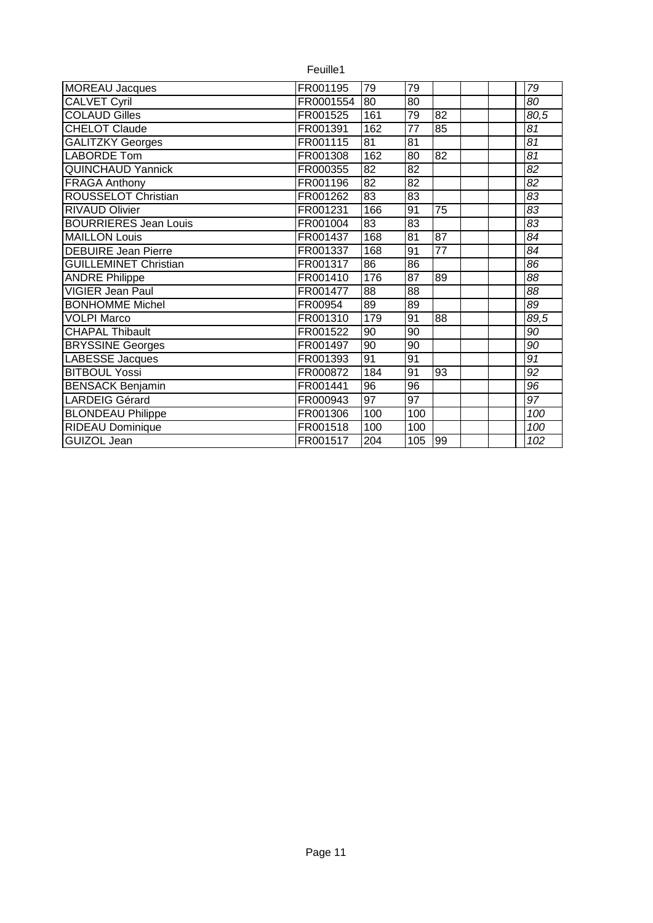|                              | Feuille1  |                 |                 |                 |  |                   |
|------------------------------|-----------|-----------------|-----------------|-----------------|--|-------------------|
| <b>MOREAU Jacques</b>        | FR001195  | 79              | 79              |                 |  | 79                |
| <b>CALVET Cyril</b>          | FR0001554 | 80              | $\overline{80}$ |                 |  | 80                |
| <b>COLAUD Gilles</b>         | FR001525  | 161             | 79              | $\overline{82}$ |  | $80,\overline{5}$ |
| <b>CHELOT Claude</b>         | FR001391  | 162             | $\overline{77}$ | 85              |  | 81                |
| <b>GALITZKY Georges</b>      | FR001115  | $\overline{81}$ | 81              |                 |  | 81                |
| <b>LABORDE Tom</b>           | FR001308  | 162             | 80              | $\overline{82}$ |  | $\overline{81}$   |
| <b>QUINCHAUD Yannick</b>     | FR000355  | 82              | $\overline{82}$ |                 |  | $\overline{82}$   |
| <b>FRAGA Anthony</b>         | FR001196  | $\overline{82}$ | $\overline{82}$ |                 |  | $\overline{82}$   |
| <b>ROUSSELOT Christian</b>   | FR001262  | $\overline{83}$ | 83              |                 |  | $\overline{83}$   |
| <b>RIVAUD Olivier</b>        | FR001231  | 166             | 91              | $\overline{75}$ |  | $\overline{83}$   |
| <b>BOURRIERES Jean Louis</b> | FR001004  | 83              | $\overline{83}$ |                 |  | 83                |
| <b>MAILLON Louis</b>         | FR001437  | 168             | $\overline{81}$ | $\overline{87}$ |  | 84                |
| <b>DEBUIRE Jean Pierre</b>   | FR001337  | 168             | 91              | $\overline{77}$ |  | $\overline{84}$   |
| <b>GUILLEMINET Christian</b> | FR001317  | $\overline{86}$ | 86              |                 |  | $\overline{86}$   |
| <b>ANDRE Philippe</b>        | FR001410  | 176             | $\overline{87}$ | 89              |  | $\overline{88}$   |
| <b>VIGIER Jean Paul</b>      | FR001477  | 88              | 88              |                 |  | 88                |
| <b>BONHOMME Michel</b>       | FR00954   | 89              | 89              |                 |  | 89                |
| <b>VOLPI Marco</b>           | FR001310  | 179             | 91              | 88              |  | 89,5              |
| <b>CHAPAL Thibault</b>       | FR001522  | 90              | 90              |                 |  | 90                |
| <b>BRYSSINE Georges</b>      | FR001497  | 90              | 90              |                 |  | 90                |
| LABESSE Jacques              | FR001393  | 91              | 91              |                 |  | $\overline{91}$   |
| <b>BITBOUL Yossi</b>         | FR000872  | 184             | 91              | 93              |  | 92                |
| <b>BENSACK Benjamin</b>      | FR001441  | $\overline{96}$ | 96              |                 |  | 96                |
| <b>LARDEIG Gérard</b>        | FR000943  | 97              | 97              |                 |  | 97                |
| <b>BLONDEAU Philippe</b>     | FR001306  | 100             | 100             |                 |  | 100               |
| RIDEAU Dominique             | FR001518  | 100             | 100             |                 |  | 100               |
| <b>GUIZOL Jean</b>           | FR001517  | 204             | 105             | 99              |  | 102               |